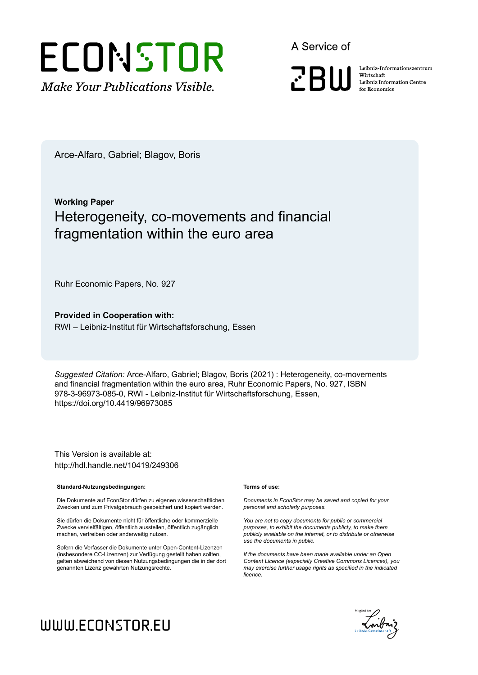## ECONSTOR **Make Your Publications Visible.**

A Service of

**PRIII** 

Leibniz Informationszentrum Wirtschaft Leibniz Information Centre for Economics

Arce-Alfaro, Gabriel; Blagov, Boris

## **Working Paper** Heterogeneity, co-movements and financial fragmentation within the euro area

Ruhr Economic Papers, No. 927

**Provided in Cooperation with:** RWI – Leibniz-Institut für Wirtschaftsforschung, Essen

*Suggested Citation:* Arce-Alfaro, Gabriel; Blagov, Boris (2021) : Heterogeneity, co-movements and financial fragmentation within the euro area, Ruhr Economic Papers, No. 927, ISBN 978-3-96973-085-0, RWI - Leibniz-Institut für Wirtschaftsforschung, Essen, https://doi.org/10.4419/96973085

This Version is available at: http://hdl.handle.net/10419/249306

#### **Standard-Nutzungsbedingungen:**

Die Dokumente auf EconStor dürfen zu eigenen wissenschaftlichen Zwecken und zum Privatgebrauch gespeichert und kopiert werden.

Sie dürfen die Dokumente nicht für öffentliche oder kommerzielle Zwecke vervielfältigen, öffentlich ausstellen, öffentlich zugänglich machen, vertreiben oder anderweitig nutzen.

Sofern die Verfasser die Dokumente unter Open-Content-Lizenzen (insbesondere CC-Lizenzen) zur Verfügung gestellt haben sollten, gelten abweichend von diesen Nutzungsbedingungen die in der dort genannten Lizenz gewährten Nutzungsrechte.

#### **Terms of use:**

*Documents in EconStor may be saved and copied for your personal and scholarly purposes.*

*You are not to copy documents for public or commercial purposes, to exhibit the documents publicly, to make them publicly available on the internet, or to distribute or otherwise use the documents in public.*

*If the documents have been made available under an Open Content Licence (especially Creative Commons Licences), you may exercise further usage rights as specified in the indicated licence.*



## WWW.ECONSTOR.EU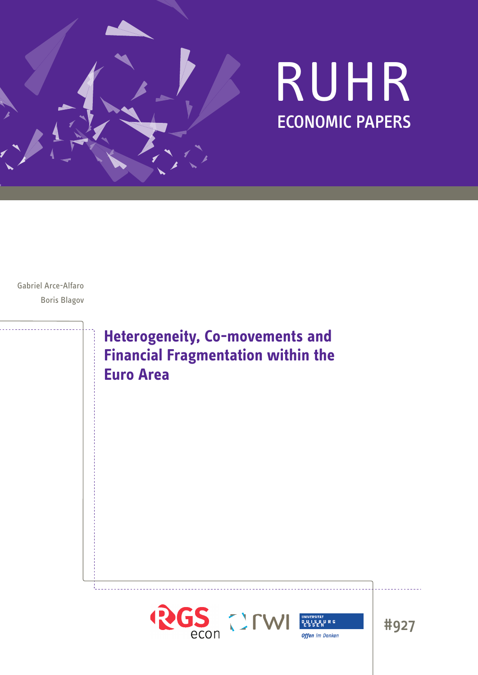

# RUHR ECONOMIC PAPERS

Gabriel Arce-Alfaro Boris Blagov

> **Heterogeneity, Co-movements and Financial Fragmentation within the Euro Area**



#927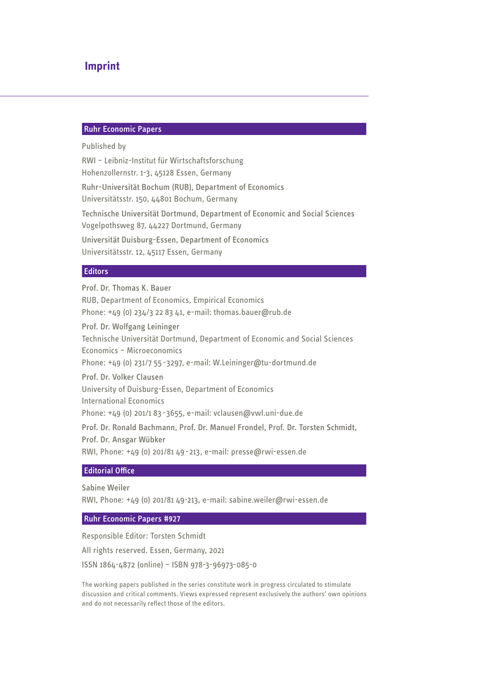#### **Imprint**

#### Ruhr Economic Papers

#### Published by

RWI – Leibniz-Institut für Wirtschaftsforschung Hohenzollernstr. 1-3, 45128 Essen, Germany Ruhr-Universität Bochum (RUB), Department of Economics Universitätsstr. 150, 44801 Bochum, Germany Technische Universität Dortmund, Department of Economic and Social Sciences Vogelpothsweg 87, 44227 Dortmund, Germany Universität Duisburg-Essen, Department of Economics Universitätsstr. 12, 45117 Essen, Germany

#### **Editors**

## Prof. Dr. Thomas K. Bauer RUB, Department of Economics, Empirical Economics Phone: +49 (0) 234/3 22 83 41, e-mail: thomas.bauer@rub.de Prof. Dr. Wolfgang Leininger Technische Universität Dortmund, Department of Economic and Social Sciences Economics – Microeconomics Phone: +49 (0) 231/7 55-3297, e-mail: W.Leininger@tu-dortmund.de Prof. Dr. Volker Clausen University of Duisburg-Essen, Department of Economics International Economics Phone: +49 (0) 201/1 83-3655, e-mail: vclausen@vwl.uni-due.de Prof. Dr. Ronald Bachmann, Prof. Dr. Manuel Frondel, Prof. Dr. Torsten Schmidt, Prof. Dr. Ansgar Wübker RWI, Phone: +49 (0) 201/81 49-213, e-mail: presse@rwi-essen.de

#### Editorial Office

Sabine Weiler

RWI, Phone: +49 (0) 201/81 49-213, e-mail: sabine.weiler@rwi-essen.de

#### Ruhr Economic Papers #927

Responsible Editor: Torsten Schmidt All rights reserved. Essen, Germany, 2021 ISSN 1864-4872 (online) – ISBN 978-3-96973-085-0

The working papers published in the series constitute work in progress circulated to stimulate discussion and critical comments. Views expressed represent exclusively the authors' own opinions and do not necessarily reflect those of the editors.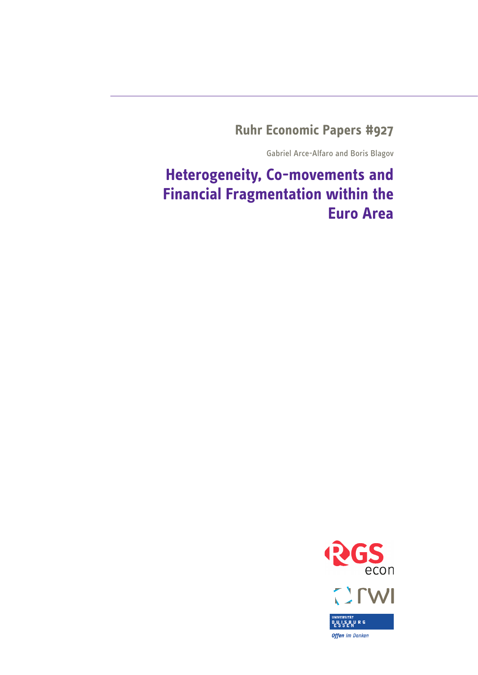**Ruhr Economic Papers #927**

Gabriel Arce-Alfaro and Boris Blagov

**Heterogeneity, Co-movements and Financial Fragmentation within the Euro Area**

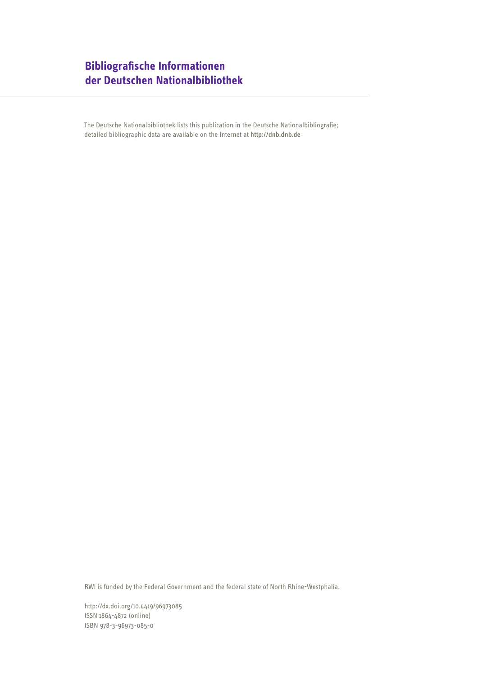## **Bibliografische Informationen der Deutschen Nationalbibliothek**

The Deutsche Nationalbibliothek lists this publication in the Deutsche Nationalbibliografie; detailed bibliographic data are available on the Internet at http://dnb.dnb.de

RWI is funded by the Federal Government and the federal state of North Rhine-Westphalia.

http://dx.doi.org/10.4419/96973085 ISSN 1864-4872 (online) ISBN 978-3-96973-085-0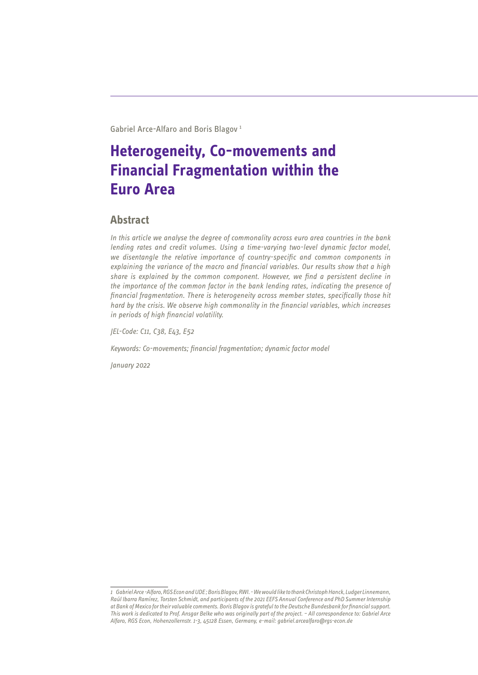Gabriel Arce-Alfaro and Boris Blagov 1

## **Heterogeneity, Co-movements and Financial Fragmentation within the Euro Area**

### **Abstract**

*In this article we analyse the degree of commonality across euro area countries in the bank lending rates and credit volumes. Using a time-varying two-level dynamic factor model, we disentangle the relative importance of country-specific and common components in explaining the variance of the macro and financial variables. Our results show that a high share is explained by the common component. However, we find a persistent decline in the importance of the common factor in the bank lending rates, indicating the presence of financial fragmentation. There is heterogeneity across member states, specifically those hit hard by the crisis. We observe high commonality in the financial variables, which increases in periods of high financial volatility.*

*JEL-Code: C11, C38, E43, E52*

*Keywords: Co-movements; financial fragmentation; dynamic factor model*

*January 2022*

*<sup>1</sup> Gabriel Arce -Alfaro, RGS Econ and UDE ; Boris Blagov, RWI. - We would like to thank Christoph Hanck, Ludger Linnemann, Raúl Ibarra Ramírez, Torsten Schmidt, and participants of the 2021 EEFS Annual Conference and PhD Summer Internship at Bank of Mexico for their valuable comments. Boris Blagov is grateful to the Deutsche Bundesbank for financial support. This work is dedicated to Prof. Ansgar Belke who was originally part of the project. – All correspondence to: Gabriel Arce Alfaro, RGS Econ, Hohenzollernstr. 1-3, 45128 Essen, Germany, e-mail: gabriel.arcealfaro@rgs-econ.de*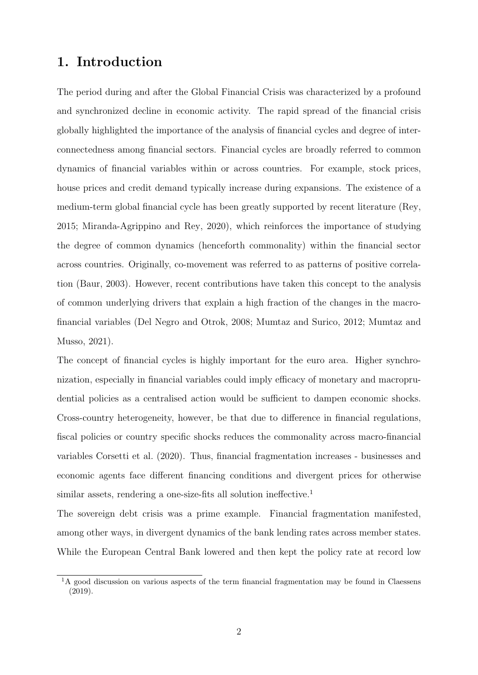## 1. Introduction

The period during and after the Global Financial Crisis was characterized by a profound and synchronized decline in economic activity. The rapid spread of the financial crisis globally highlighted the importance of the analysis of financial cycles and degree of interconnectedness among financial sectors. Financial cycles are broadly referred to common dynamics of financial variables within or across countries. For example, stock prices, house prices and credit demand typically increase during expansions. The existence of a medium-term global financial cycle has been greatly supported by recent literature (Rey, 2015; Miranda-Agrippino and Rey, 2020), which reinforces the importance of studying the degree of common dynamics (henceforth commonality) within the financial sector across countries. Originally, co-movement was referred to as patterns of positive correlation (Baur, 2003). However, recent contributions have taken this concept to the analysis of common underlying drivers that explain a high fraction of the changes in the macrofinancial variables (Del Negro and Otrok, 2008; Mumtaz and Surico, 2012; Mumtaz and Musso, 2021).

The concept of financial cycles is highly important for the euro area. Higher synchronization, especially in financial variables could imply efficacy of monetary and macroprudential policies as a centralised action would be sufficient to dampen economic shocks. Cross-country heterogeneity, however, be that due to difference in financial regulations, fiscal policies or country specific shocks reduces the commonality across macro-financial variables Corsetti et al. (2020). Thus, financial fragmentation increases - businesses and economic agents face different financing conditions and divergent prices for otherwise similar assets, rendering a one-size-fits all solution ineffective.<sup>1</sup>

The sovereign debt crisis was a prime example. Financial fragmentation manifested, among other ways, in divergent dynamics of the bank lending rates across member states. While the European Central Bank lowered and then kept the policy rate at record low

<sup>&</sup>lt;sup>1</sup>A good discussion on various aspects of the term financial fragmentation may be found in Claessens (2019).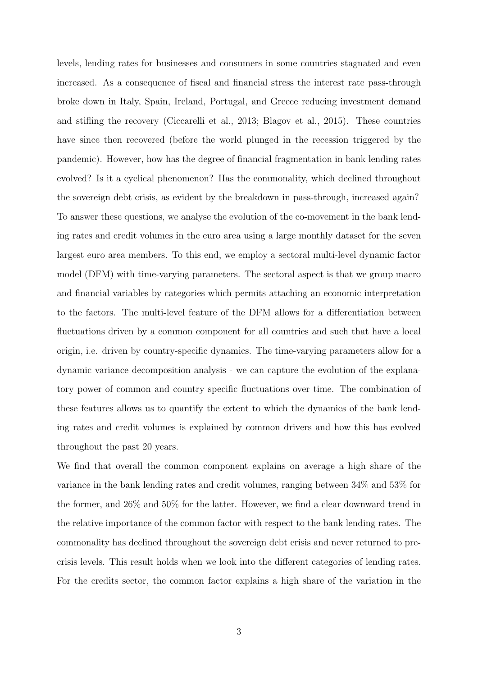levels, lending rates for businesses and consumers in some countries stagnated and even increased. As a consequence of fiscal and financial stress the interest rate pass-through broke down in Italy, Spain, Ireland, Portugal, and Greece reducing investment demand and stifling the recovery (Ciccarelli et al., 2013; Blagov et al., 2015). These countries have since then recovered (before the world plunged in the recession triggered by the pandemic). However, how has the degree of financial fragmentation in bank lending rates evolved? Is it a cyclical phenomenon? Has the commonality, which declined throughout the sovereign debt crisis, as evident by the breakdown in pass-through, increased again? To answer these questions, we analyse the evolution of the co-movement in the bank lending rates and credit volumes in the euro area using a large monthly dataset for the seven largest euro area members. To this end, we employ a sectoral multi-level dynamic factor model (DFM) with time-varying parameters. The sectoral aspect is that we group macro and financial variables by categories which permits attaching an economic interpretation to the factors. The multi-level feature of the DFM allows for a differentiation between fluctuations driven by a common component for all countries and such that have a local origin, i.e. driven by country-specific dynamics. The time-varying parameters allow for a dynamic variance decomposition analysis - we can capture the evolution of the explanatory power of common and country specific fluctuations over time. The combination of these features allows us to quantify the extent to which the dynamics of the bank lending rates and credit volumes is explained by common drivers and how this has evolved throughout the past 20 years.

We find that overall the common component explains on average a high share of the variance in the bank lending rates and credit volumes, ranging between 34% and 53% for the former, and 26% and 50% for the latter. However, we find a clear downward trend in the relative importance of the common factor with respect to the bank lending rates. The commonality has declined throughout the sovereign debt crisis and never returned to precrisis levels. This result holds when we look into the different categories of lending rates. For the credits sector, the common factor explains a high share of the variation in the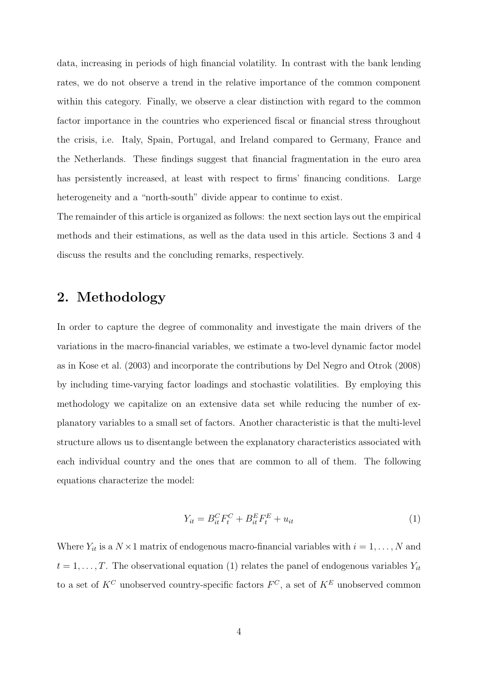data, increasing in periods of high financial volatility. In contrast with the bank lending rates, we do not observe a trend in the relative importance of the common component within this category. Finally, we observe a clear distinction with regard to the common factor importance in the countries who experienced fiscal or financial stress throughout the crisis, i.e. Italy, Spain, Portugal, and Ireland compared to Germany, France and the Netherlands. These findings suggest that financial fragmentation in the euro area has persistently increased, at least with respect to firms' financing conditions. Large heterogeneity and a "north-south" divide appear to continue to exist.

The remainder of this article is organized as follows: the next section lays out the empirical methods and their estimations, as well as the data used in this article. Sections 3 and 4 discuss the results and the concluding remarks, respectively.

## 2. Methodology

In order to capture the degree of commonality and investigate the main drivers of the variations in the macro-financial variables, we estimate a two-level dynamic factor model as in Kose et al. (2003) and incorporate the contributions by Del Negro and Otrok (2008) by including time-varying factor loadings and stochastic volatilities. By employing this methodology we capitalize on an extensive data set while reducing the number of explanatory variables to a small set of factors. Another characteristic is that the multi-level structure allows us to disentangle between the explanatory characteristics associated with each individual country and the ones that are common to all of them. The following equations characterize the model:

$$
Y_{it} = B_{it}^C F_t^C + B_{it}^E F_t^E + u_{it}
$$
\n(1)

Where  $Y_{it}$  is a  $N \times 1$  matrix of endogenous macro-financial variables with  $i = 1, ..., N$  and  $t = 1, \ldots, T$ . The observational equation (1) relates the panel of endogenous variables  $Y_{it}$ to a set of  $K^C$  unobserved country-specific factors  $F^C$ , a set of  $K^E$  unobserved common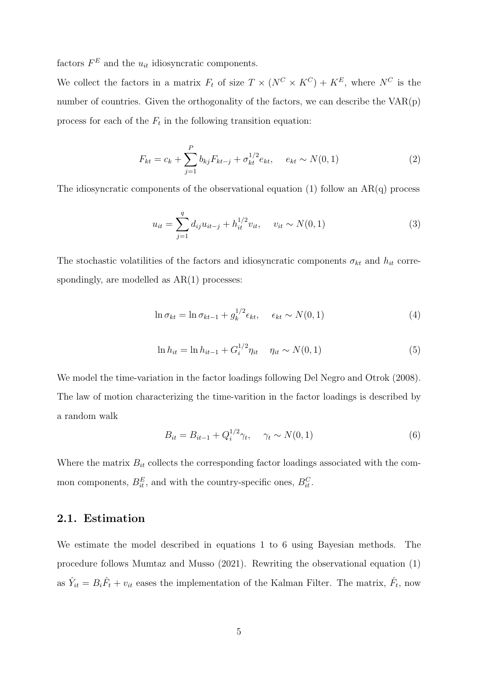factors  $F^E$  and the  $u_{it}$  idiosyncratic components.

We collect the factors in a matrix  $F_t$  of size  $T \times (N^C \times K^C) + K^E$ , where  $N^C$  is the number of countries. Given the orthogonality of the factors, we can describe the VAR(p) process for each of the  $F_t$  in the following transition equation:

$$
F_{kt} = c_k + \sum_{j=1}^{P} b_{kj} F_{kt-j} + \sigma_{kt}^{1/2} e_{kt}, \quad e_{kt} \sim N(0, 1)
$$
 (2)

The idiosyncratic components of the observational equation  $(1)$  follow an AR $(q)$  process

$$
u_{it} = \sum_{j=1}^{q} d_{ij} u_{it-j} + h_{it}^{1/2} v_{it}, \quad v_{it} \sim N(0, 1)
$$
 (3)

The stochastic volatilities of the factors and idiosyncratic components  $\sigma_{kt}$  and  $h_{it}$  correspondingly, are modelled as  $AR(1)$  processes:

$$
\ln \sigma_{kt} = \ln \sigma_{kt-1} + g_k^{1/2} \epsilon_{kt}, \quad \epsilon_{kt} \sim N(0, 1)
$$
\n(4)

$$
\ln h_{it} = \ln h_{it-1} + G_i^{1/2} \eta_{it} \quad \eta_{it} \sim N(0, 1)
$$
\n(5)

We model the time-variation in the factor loadings following Del Negro and Otrok (2008). The law of motion characterizing the time-varition in the factor loadings is described by a random walk

$$
B_{it} = B_{it-1} + Q_i^{1/2} \gamma_t, \quad \gamma_t \sim N(0, 1)
$$
\n(6)

Where the matrix  $B_{it}$  collects the corresponding factor loadings associated with the common components,  $B_{it}^E$ , and with the country-specific ones,  $B_{it}^C$ .

#### 2.1. Estimation

We estimate the model described in equations 1 to 6 using Bayesian methods. The procedure follows Mumtaz and Musso (2021). Rewriting the observational equation (1) as  $\hat{Y}_{it} = B_i \hat{F}_t + v_{it}$  eases the implementation of the Kalman Filter. The matrix,  $\hat{F}_t$ , now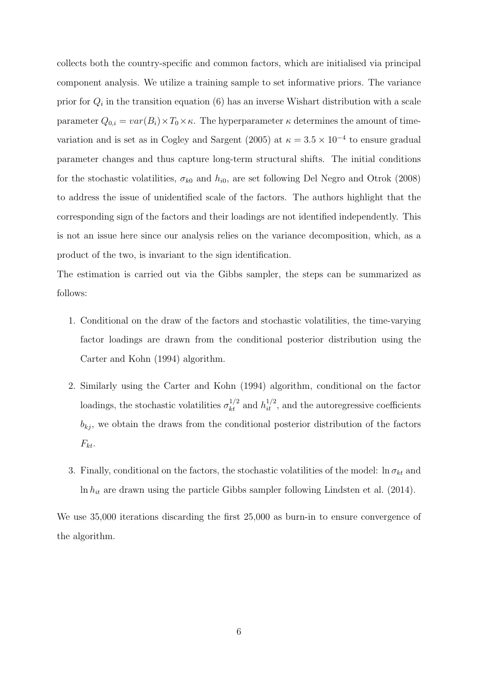collects both the country-specific and common factors, which are initialised via principal component analysis. We utilize a training sample to set informative priors. The variance prior for  $Q_i$  in the transition equation (6) has an inverse Wishart distribution with a scale parameter  $Q_{0,i} = var(B_i) \times T_0 \times \kappa$ . The hyperparameter  $\kappa$  determines the amount of timevariation and is set as in Cogley and Sargent (2005) at  $\kappa = 3.5 \times 10^{-4}$  to ensure gradual parameter changes and thus capture long-term structural shifts. The initial conditions for the stochastic volatilities,  $\sigma_{k0}$  and  $h_{i0}$ , are set following Del Negro and Otrok (2008) to address the issue of unidentified scale of the factors. The authors highlight that the corresponding sign of the factors and their loadings are not identified independently. This is not an issue here since our analysis relies on the variance decomposition, which, as a product of the two, is invariant to the sign identification.

The estimation is carried out via the Gibbs sampler, the steps can be summarized as follows:

- 1. Conditional on the draw of the factors and stochastic volatilities, the time-varying factor loadings are drawn from the conditional posterior distribution using the Carter and Kohn (1994) algorithm.
- 2. Similarly using the Carter and Kohn (1994) algorithm, conditional on the factor loadings, the stochastic volatilities  $\sigma_{kt}^{1/2}$  and  $h_{it}^{1/2}$ , and the autoregressive coefficients  $b_{kj}$ , we obtain the draws from the conditional posterior distribution of the factors  $F_{kt}$ .
- 3. Finally, conditional on the factors, the stochastic volatilities of the model:  $\ln \sigma_{kt}$  and  $\ln h_{it}$  are drawn using the particle Gibbs sampler following Lindsten et al. (2014).

We use 35,000 iterations discarding the first 25,000 as burn-in to ensure convergence of the algorithm.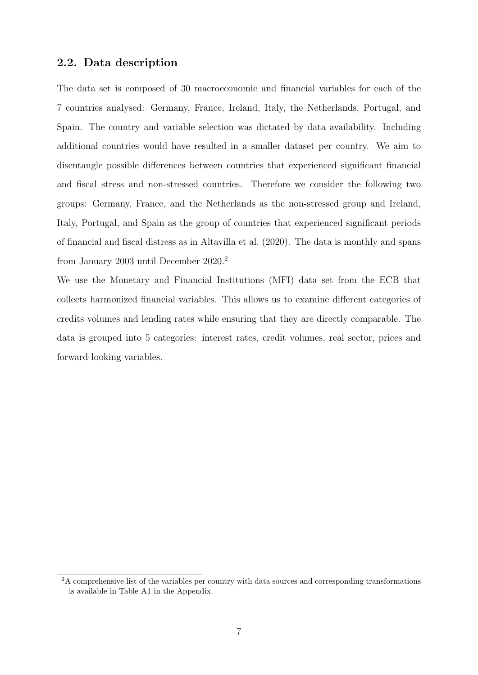#### 2.2. Data description

The data set is composed of 30 macroeconomic and financial variables for each of the 7 countries analysed: Germany, France, Ireland, Italy, the Netherlands, Portugal, and Spain. The country and variable selection was dictated by data availability. Including additional countries would have resulted in a smaller dataset per country. We aim to disentangle possible differences between countries that experienced significant financial and fiscal stress and non-stressed countries. Therefore we consider the following two groups: Germany, France, and the Netherlands as the non-stressed group and Ireland, Italy, Portugal, and Spain as the group of countries that experienced significant periods of financial and fiscal distress as in Altavilla et al. (2020). The data is monthly and spans from January 2003 until December 2020.<sup>2</sup>

We use the Monetary and Financial Institutions (MFI) data set from the ECB that collects harmonized financial variables. This allows us to examine different categories of credits volumes and lending rates while ensuring that they are directly comparable. The data is grouped into 5 categories: interest rates, credit volumes, real sector, prices and forward-looking variables.

<sup>&</sup>lt;sup>2</sup>A comprehensive list of the variables per country with data sources and corresponding transformations is available in Table A1 in the Appendix.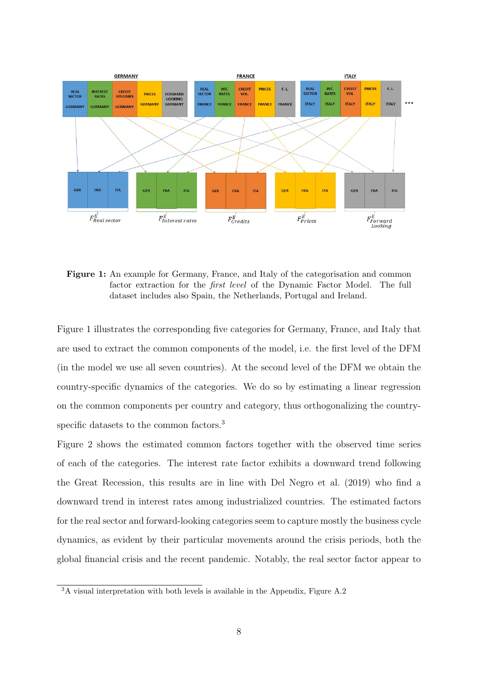

Figure 1: An example for Germany, France, and Italy of the categorisation and common factor extraction for the first level of the Dynamic Factor Model. The full dataset includes also Spain, the Netherlands, Portugal and Ireland.

Figure 1 illustrates the corresponding five categories for Germany, France, and Italy that are used to extract the common components of the model, i.e. the first level of the DFM (in the model we use all seven countries). At the second level of the DFM we obtain the country-specific dynamics of the categories. We do so by estimating a linear regression on the common components per country and category, thus orthogonalizing the countryspecific datasets to the common factors.<sup>3</sup>

Figure 2 shows the estimated common factors together with the observed time series of each of the categories. The interest rate factor exhibits a downward trend following the Great Recession, this results are in line with Del Negro et al. (2019) who find a downward trend in interest rates among industrialized countries. The estimated factors for the real sector and forward-looking categories seem to capture mostly the business cycle dynamics, as evident by their particular movements around the crisis periods, both the global financial crisis and the recent pandemic. Notably, the real sector factor appear to

<sup>3</sup>A visual interpretation with both levels is available in the Appendix, Figure A.2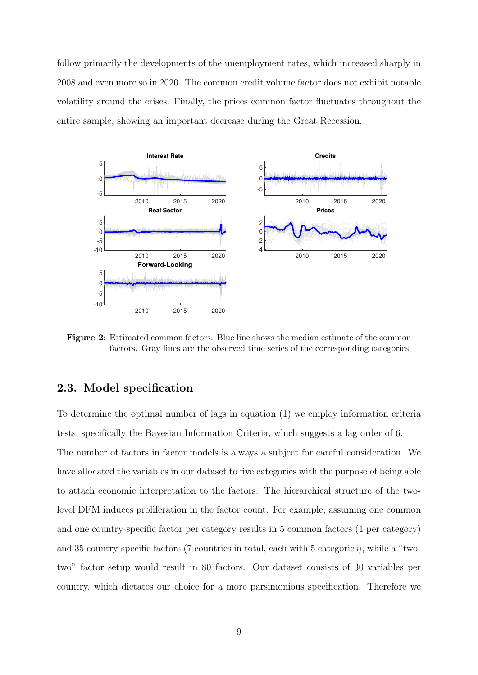follow primarily the developments of the unemployment rates, which increased sharply in 2008 and even more so in 2020. The common credit volume factor does not exhibit notable volatility around the crises. Finally, the prices common factor fluctuates throughout the entire sample, showing an important decrease during the Great Recession.



Figure 2: Estimated common factors. Blue line shows the median estimate of the common factors. Gray lines are the observed time series of the corresponding categories.

#### 2.3. Model specification

To determine the optimal number of lags in equation (1) we employ information criteria tests, specifically the Bayesian Information Criteria, which suggests a lag order of 6. The number of factors in factor models is always a subject for careful consideration. We have allocated the variables in our dataset to five categories with the purpose of being able to attach economic interpretation to the factors. The hierarchical structure of the twolevel DFM induces proliferation in the factor count. For example, assuming one common and one country-specific factor per category results in 5 common factors (1 per category) and 35 country-specific factors (7 countries in total, each with 5 categories), while a "twotwo" factor setup would result in 80 factors. Our dataset consists of 30 variables per country, which dictates our choice for a more parsimonious specification. Therefore we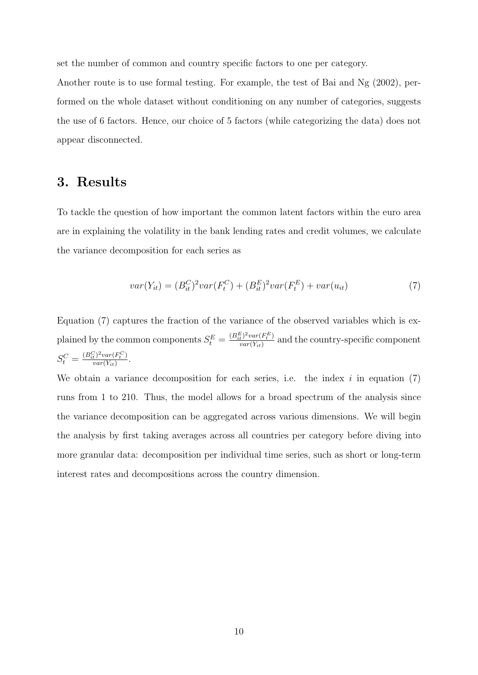set the number of common and country specific factors to one per category.

Another route is to use formal testing. For example, the test of Bai and Ng (2002), performed on the whole dataset without conditioning on any number of categories, suggests the use of 6 factors. Hence, our choice of 5 factors (while categorizing the data) does not appear disconnected.

## 3. Results

To tackle the question of how important the common latent factors within the euro area are in explaining the volatility in the bank lending rates and credit volumes, we calculate the variance decomposition for each series as

$$
var(Y_{it}) = (B_{it}^{C})^{2} var(F_{t}^{C}) + (B_{it}^{E})^{2} var(F_{t}^{E}) + var(u_{it})
$$
\n(7)

Equation (7) captures the fraction of the variance of the observed variables which is explained by the common components  $S_t^E = \frac{(B_{ti}^E)^2 var(F_t^E)}{var(Y_{it})}$  $\frac{t^{j-var(r_t)}{var(Y_{it})}}{var(Y_{it})}$  and the country-specific component  $S_t^C = \frac{(B_{it}^C)^2 var(F_t^C)}{var(Y_{it})}$  $\frac{t}{var(Y_{it})} \frac{var(r_t)}{var(Y_{it})}$ .

We obtain a variance decomposition for each series, i.e. the index  $i$  in equation (7) runs from 1 to 210. Thus, the model allows for a broad spectrum of the analysis since the variance decomposition can be aggregated across various dimensions. We will begin the analysis by first taking averages across all countries per category before diving into more granular data: decomposition per individual time series, such as short or long-term interest rates and decompositions across the country dimension.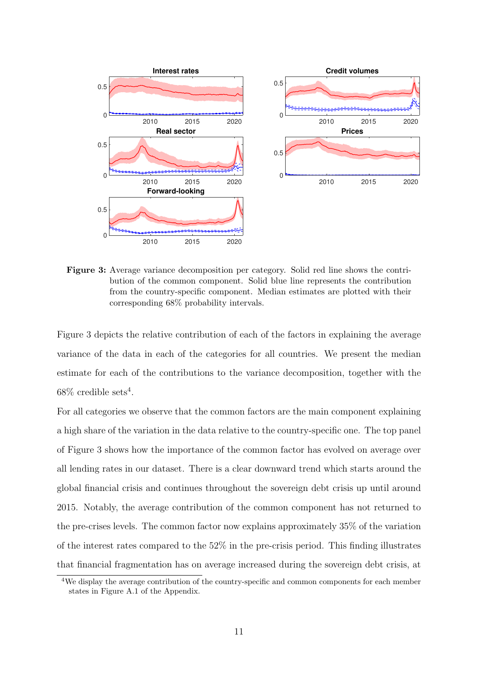

Figure 3: Average variance decomposition per category. Solid red line shows the contribution of the common component. Solid blue line represents the contribution from the country-specific component. Median estimates are plotted with their corresponding 68% probability intervals.

Figure 3 depicts the relative contribution of each of the factors in explaining the average variance of the data in each of the categories for all countries. We present the median estimate for each of the contributions to the variance decomposition, together with the  $68\%$  credible sets<sup>4</sup>.

For all categories we observe that the common factors are the main component explaining a high share of the variation in the data relative to the country-specific one. The top panel of Figure 3 shows how the importance of the common factor has evolved on average over all lending rates in our dataset. There is a clear downward trend which starts around the global financial crisis and continues throughout the sovereign debt crisis up until around 2015. Notably, the average contribution of the common component has not returned to the pre-crises levels. The common factor now explains approximately 35% of the variation of the interest rates compared to the 52% in the pre-crisis period. This finding illustrates that financial fragmentation has on average increased during the sovereign debt crisis, at

<sup>&</sup>lt;sup>4</sup>We display the average contribution of the country-specific and common components for each member states in Figure A.1 of the Appendix.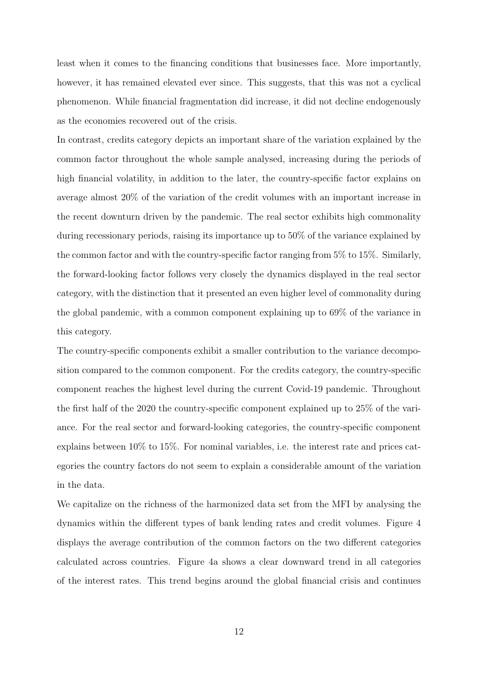least when it comes to the financing conditions that businesses face. More importantly, however, it has remained elevated ever since. This suggests, that this was not a cyclical phenomenon. While financial fragmentation did increase, it did not decline endogenously as the economies recovered out of the crisis.

In contrast, credits category depicts an important share of the variation explained by the common factor throughout the whole sample analysed, increasing during the periods of high financial volatility, in addition to the later, the country-specific factor explains on average almost 20% of the variation of the credit volumes with an important increase in the recent downturn driven by the pandemic. The real sector exhibits high commonality during recessionary periods, raising its importance up to 50% of the variance explained by the common factor and with the country-specific factor ranging from 5% to 15%. Similarly, the forward-looking factor follows very closely the dynamics displayed in the real sector category, with the distinction that it presented an even higher level of commonality during the global pandemic, with a common component explaining up to 69% of the variance in this category.

The country-specific components exhibit a smaller contribution to the variance decomposition compared to the common component. For the credits category, the country-specific component reaches the highest level during the current Covid-19 pandemic. Throughout the first half of the 2020 the country-specific component explained up to 25% of the variance. For the real sector and forward-looking categories, the country-specific component explains between 10% to 15%. For nominal variables, i.e. the interest rate and prices categories the country factors do not seem to explain a considerable amount of the variation in the data.

We capitalize on the richness of the harmonized data set from the MFI by analysing the dynamics within the different types of bank lending rates and credit volumes. Figure 4 displays the average contribution of the common factors on the two different categories calculated across countries. Figure 4a shows a clear downward trend in all categories of the interest rates. This trend begins around the global financial crisis and continues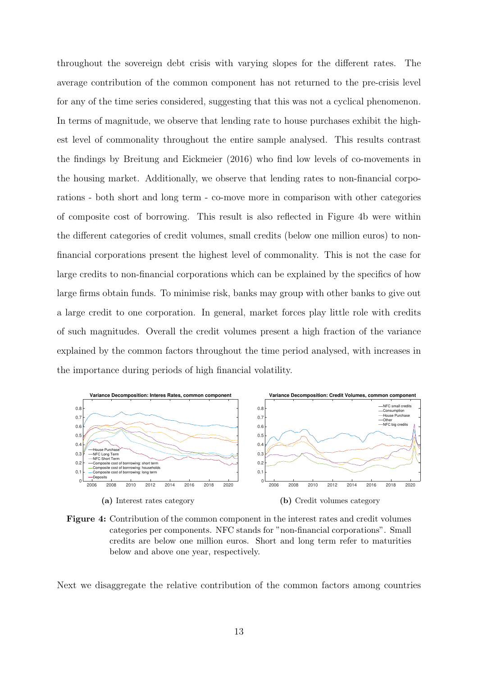throughout the sovereign debt crisis with varying slopes for the different rates. The average contribution of the common component has not returned to the pre-crisis level for any of the time series considered, suggesting that this was not a cyclical phenomenon. In terms of magnitude, we observe that lending rate to house purchases exhibit the highest level of commonality throughout the entire sample analysed. This results contrast the findings by Breitung and Eickmeier (2016) who find low levels of co-movements in the housing market. Additionally, we observe that lending rates to non-financial corporations - both short and long term - co-move more in comparison with other categories of composite cost of borrowing. This result is also reflected in Figure 4b were within the different categories of credit volumes, small credits (below one million euros) to nonfinancial corporations present the highest level of commonality. This is not the case for large credits to non-financial corporations which can be explained by the specifics of how large firms obtain funds. To minimise risk, banks may group with other banks to give out a large credit to one corporation. In general, market forces play little role with credits of such magnitudes. Overall the credit volumes present a high fraction of the variance explained by the common factors throughout the time period analysed, with increases in the importance during periods of high financial volatility.



Figure 4: Contribution of the common component in the interest rates and credit volumes categories per components. NFC stands for "non-financial corporations". Small credits are below one million euros. Short and long term refer to maturities below and above one year, respectively.

Next we disaggregate the relative contribution of the common factors among countries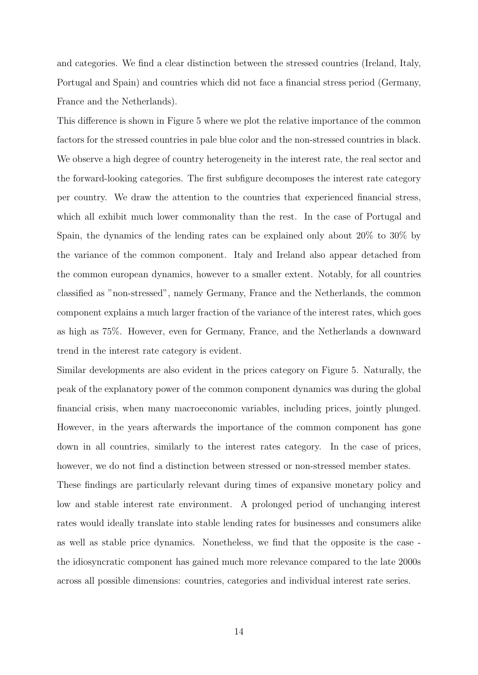and categories. We find a clear distinction between the stressed countries (Ireland, Italy, Portugal and Spain) and countries which did not face a financial stress period (Germany, France and the Netherlands).

This difference is shown in Figure 5 where we plot the relative importance of the common factors for the stressed countries in pale blue color and the non-stressed countries in black. We observe a high degree of country heterogeneity in the interest rate, the real sector and the forward-looking categories. The first subfigure decomposes the interest rate category per country. We draw the attention to the countries that experienced financial stress, which all exhibit much lower commonality than the rest. In the case of Portugal and Spain, the dynamics of the lending rates can be explained only about 20% to 30% by the variance of the common component. Italy and Ireland also appear detached from the common european dynamics, however to a smaller extent. Notably, for all countries classified as "non-stressed", namely Germany, France and the Netherlands, the common component explains a much larger fraction of the variance of the interest rates, which goes as high as 75%. However, even for Germany, France, and the Netherlands a downward trend in the interest rate category is evident.

Similar developments are also evident in the prices category on Figure 5. Naturally, the peak of the explanatory power of the common component dynamics was during the global financial crisis, when many macroeconomic variables, including prices, jointly plunged. However, in the years afterwards the importance of the common component has gone down in all countries, similarly to the interest rates category. In the case of prices, however, we do not find a distinction between stressed or non-stressed member states. These findings are particularly relevant during times of expansive monetary policy and

low and stable interest rate environment. A prolonged period of unchanging interest rates would ideally translate into stable lending rates for businesses and consumers alike as well as stable price dynamics. Nonetheless, we find that the opposite is the case the idiosyncratic component has gained much more relevance compared to the late 2000s across all possible dimensions: countries, categories and individual interest rate series.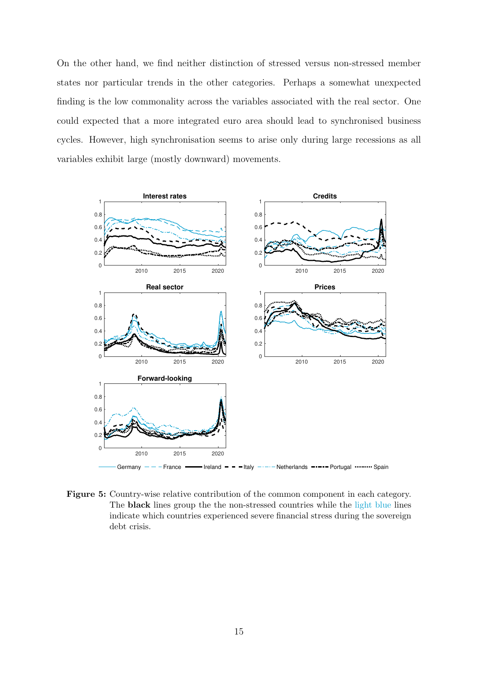On the other hand, we find neither distinction of stressed versus non-stressed member states nor particular trends in the other categories. Perhaps a somewhat unexpected finding is the low commonality across the variables associated with the real sector. One could expected that a more integrated euro area should lead to synchronised business cycles. However, high synchronisation seems to arise only during large recessions as all variables exhibit large (mostly downward) movements.



Figure 5: Country-wise relative contribution of the common component in each category. The black lines group the the non-stressed countries while the light blue lines indicate which countries experienced severe financial stress during the sovereign debt crisis.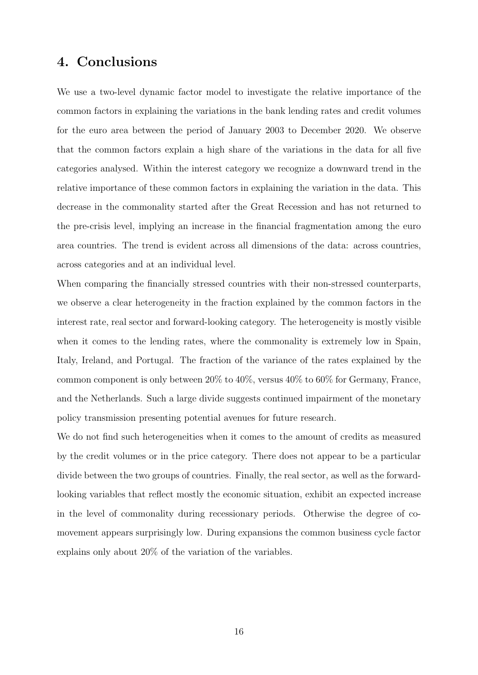## 4. Conclusions

We use a two-level dynamic factor model to investigate the relative importance of the common factors in explaining the variations in the bank lending rates and credit volumes for the euro area between the period of January 2003 to December 2020. We observe that the common factors explain a high share of the variations in the data for all five categories analysed. Within the interest category we recognize a downward trend in the relative importance of these common factors in explaining the variation in the data. This decrease in the commonality started after the Great Recession and has not returned to the pre-crisis level, implying an increase in the financial fragmentation among the euro area countries. The trend is evident across all dimensions of the data: across countries, across categories and at an individual level.

When comparing the financially stressed countries with their non-stressed counterparts, we observe a clear heterogeneity in the fraction explained by the common factors in the interest rate, real sector and forward-looking category. The heterogeneity is mostly visible when it comes to the lending rates, where the commonality is extremely low in Spain, Italy, Ireland, and Portugal. The fraction of the variance of the rates explained by the common component is only between 20% to 40%, versus 40% to 60% for Germany, France, and the Netherlands. Such a large divide suggests continued impairment of the monetary policy transmission presenting potential avenues for future research.

We do not find such heterogeneities when it comes to the amount of credits as measured by the credit volumes or in the price category. There does not appear to be a particular divide between the two groups of countries. Finally, the real sector, as well as the forwardlooking variables that reflect mostly the economic situation, exhibit an expected increase in the level of commonality during recessionary periods. Otherwise the degree of comovement appears surprisingly low. During expansions the common business cycle factor explains only about 20% of the variation of the variables.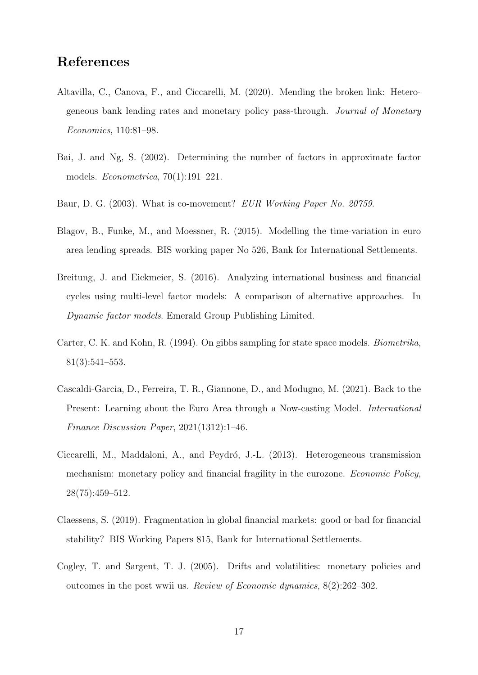## References

- Altavilla, C., Canova, F., and Ciccarelli, M. (2020). Mending the broken link: Heterogeneous bank lending rates and monetary policy pass-through. Journal of Monetary Economics, 110:81–98.
- Bai, J. and Ng, S. (2002). Determining the number of factors in approximate factor models. Econometrica, 70(1):191–221.
- Baur, D. G. (2003). What is co-movement? EUR Working Paper No. 20759.
- Blagov, B., Funke, M., and Moessner, R. (2015). Modelling the time-variation in euro area lending spreads. BIS working paper No 526, Bank for International Settlements.
- Breitung, J. and Eickmeier, S. (2016). Analyzing international business and financial cycles using multi-level factor models: A comparison of alternative approaches. In Dynamic factor models. Emerald Group Publishing Limited.
- Carter, C. K. and Kohn, R. (1994). On gibbs sampling for state space models. Biometrika, 81(3):541–553.
- Cascaldi-Garcia, D., Ferreira, T. R., Giannone, D., and Modugno, M. (2021). Back to the Present: Learning about the Euro Area through a Now-casting Model. International Finance Discussion Paper, 2021(1312):1–46.
- Ciccarelli, M., Maddaloni, A., and Peydró, J.-L. (2013). Heterogeneous transmission mechanism: monetary policy and financial fragility in the eurozone. Economic Policy, 28(75):459–512.
- Claessens, S. (2019). Fragmentation in global financial markets: good or bad for financial stability? BIS Working Papers 815, Bank for International Settlements.
- Cogley, T. and Sargent, T. J. (2005). Drifts and volatilities: monetary policies and outcomes in the post wwii us. Review of Economic dynamics, 8(2):262–302.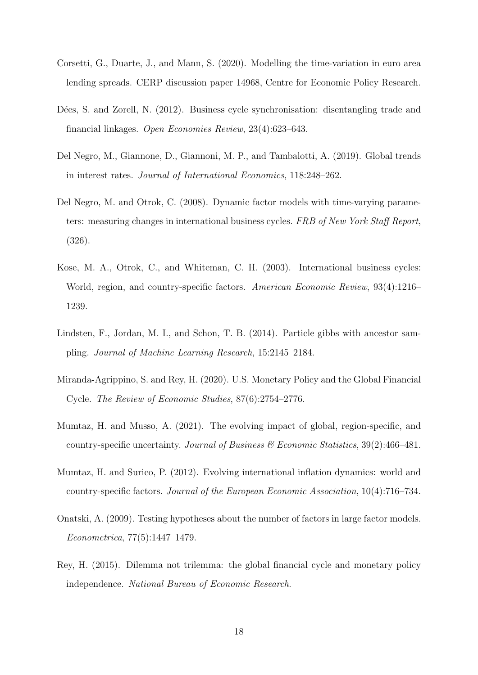- Corsetti, G., Duarte, J., and Mann, S. (2020). Modelling the time-variation in euro area lending spreads. CERP discussion paper 14968, Centre for Economic Policy Research.
- Dées, S. and Zorell, N. (2012). Business cycle synchronisation: disentangling trade and financial linkages. Open Economies Review, 23(4):623–643.
- Del Negro, M., Giannone, D., Giannoni, M. P., and Tambalotti, A. (2019). Global trends in interest rates. Journal of International Economics, 118:248–262.
- Del Negro, M. and Otrok, C. (2008). Dynamic factor models with time-varying parameters: measuring changes in international business cycles. FRB of New York Staff Report, (326).
- Kose, M. A., Otrok, C., and Whiteman, C. H. (2003). International business cycles: World, region, and country-specific factors. American Economic Review, 93(4):1216– 1239.
- Lindsten, F., Jordan, M. I., and Schon, T. B. (2014). Particle gibbs with ancestor sampling. Journal of Machine Learning Research, 15:2145–2184.
- Miranda-Agrippino, S. and Rey, H. (2020). U.S. Monetary Policy and the Global Financial Cycle. The Review of Economic Studies, 87(6):2754–2776.
- Mumtaz, H. and Musso, A. (2021). The evolving impact of global, region-specific, and country-specific uncertainty. Journal of Business  $\mathcal{B}$  Economic Statistics, 39(2):466–481.
- Mumtaz, H. and Surico, P. (2012). Evolving international inflation dynamics: world and country-specific factors. Journal of the European Economic Association, 10(4):716–734.
- Onatski, A. (2009). Testing hypotheses about the number of factors in large factor models. Econometrica, 77(5):1447–1479.
- Rey, H. (2015). Dilemma not trilemma: the global financial cycle and monetary policy independence. National Bureau of Economic Research.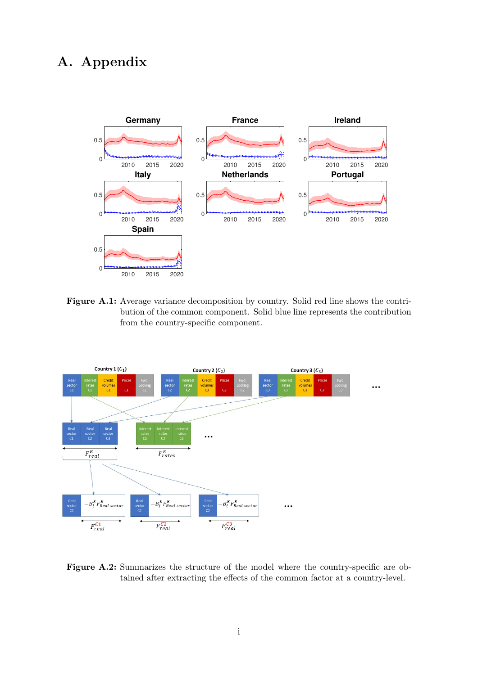## A. Appendix



Figure A.1: Average variance decomposition by country. Solid red line shows the contribution of the common component. Solid blue line represents the contribution from the country-specific component.



Figure A.2: Summarizes the structure of the model where the country-specific are obtained after extracting the effects of the common factor at a country-level.